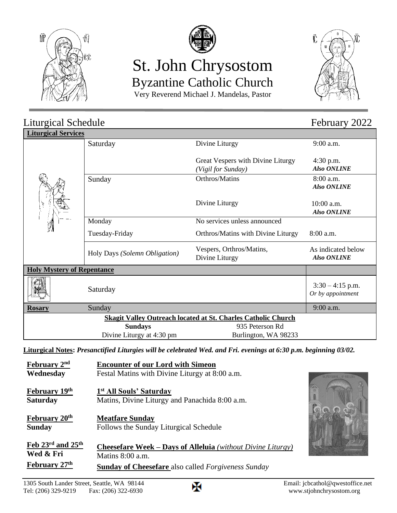



# St. John Chrysostom Byzantine Catholic Church





| Liturgical Schedule                                                  |                               |                                                         | February 2022                            |  |
|----------------------------------------------------------------------|-------------------------------|---------------------------------------------------------|------------------------------------------|--|
| <b>Liturgical Services</b>                                           |                               |                                                         |                                          |  |
|                                                                      | Saturday                      | Divine Liturgy                                          | $9:00$ a.m.                              |  |
|                                                                      |                               | Great Vespers with Divine Liturgy<br>(Vigil for Sunday) | $4:30$ p.m.<br><b>Also ONLINE</b>        |  |
|                                                                      | Sunday                        | Orthros/Matins                                          | 8:00 a.m.<br><b>Also ONLINE</b>          |  |
|                                                                      |                               | Divine Liturgy                                          | $10:00$ a.m.<br><b>Also ONLINE</b>       |  |
|                                                                      | Monday                        | No services unless announced                            |                                          |  |
|                                                                      | Tuesday-Friday                | Orthros/Matins with Divine Liturgy                      | 8:00 a.m.                                |  |
|                                                                      | Holy Days (Solemn Obligation) | Vespers, Orthros/Matins,<br>Divine Liturgy              | As indicated below<br><b>Also ONLINE</b> |  |
| <b>Holy Mystery of Repentance</b>                                    |                               |                                                         |                                          |  |
|                                                                      | Saturday                      |                                                         | $3:30 - 4:15$ p.m.<br>Or by appointment  |  |
| <b>Rosary</b>                                                        | Sunday                        |                                                         | 9:00 a.m.                                |  |
| <b>Skagit Valley Outreach located at St. Charles Catholic Church</b> |                               |                                                         |                                          |  |
|                                                                      | <b>Sundays</b>                | 935 Peterson Rd                                         |                                          |  |
|                                                                      | Divine Liturgy at 4:30 pm     | Burlington, WA 98233                                    |                                          |  |

**Liturgical Notes:** *Presanctified Liturgies will be celebrated Wed. and Fri. evenings at 6:30 p.m. beginning 03/02.*

| February 2 <sup>nd</sup>      | <b>Encounter of our Lord with Simeon</b>                           |  |
|-------------------------------|--------------------------------------------------------------------|--|
| Wednesday                     | Festal Matins with Divine Liturgy at 8:00 a.m.                     |  |
|                               |                                                                    |  |
| February 19th                 | 1 <sup>st</sup> All Souls' Saturday                                |  |
| <b>Saturday</b>               | Matins, Divine Liturgy and Panachida 8:00 a.m.                     |  |
|                               |                                                                    |  |
| February 20 <sup>th</sup>     | <b>Meatfare Sunday</b>                                             |  |
| <b>Sunday</b>                 | Follows the Sunday Liturgical Schedule                             |  |
|                               |                                                                    |  |
| Feb 23rd and 25 <sup>th</sup> | <b>Cheesefare Week – Days of Alleluia</b> (without Divine Liturgy) |  |
| Wed & Fri                     | Matins $8:00$ a.m.                                                 |  |
|                               |                                                                    |  |
| February 27th                 | <b>Sunday of Cheesefare</b> also called <i>Forgiveness Sunday</i>  |  |

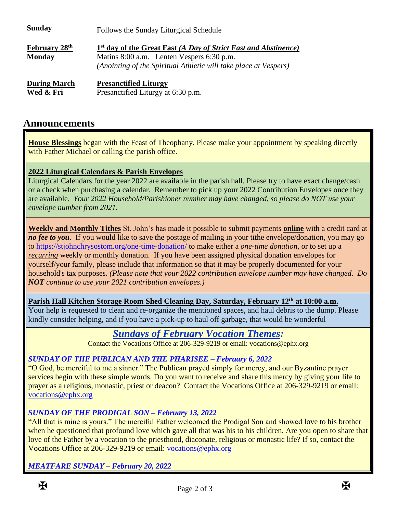| <b>Sunday</b>                         | Follows the Sunday Liturgical Schedule                                                                                                                                                       |  |
|---------------------------------------|----------------------------------------------------------------------------------------------------------------------------------------------------------------------------------------------|--|
| <b>February 28th</b><br><b>Monday</b> | 1 <sup>st</sup> day of the Great Fast (A Day of Strict Fast and Abstinence)<br>Matins 8:00 a.m. Lenten Vespers 6:30 p.m.<br>(Anointing of the Spiritual Athletic will take place at Vespers) |  |
| <b>During March</b><br>Wed & Fri      | <b>Presanctified Liturgy</b><br>Presanctified Liturgy at 6:30 p.m.                                                                                                                           |  |

## **Announcements**

**House Blessings** began with the Feast of Theophany. Please make your appointment by speaking directly with Father Michael or calling the parish office.

#### **2022 Liturgical Calendars & Parish Envelopes**

Liturgical Calendars for the year 2022 are available in the parish hall. Please try to have exact change/cash or a check when purchasing a calendar. Remember to pick up your 2022 Contribution Envelopes once they are available. *Your 2022 Household/Parishioner number may have changed, so please do NOT use your envelope number from 2021.*

**Weekly and Monthly Tithes** St. John's has made it possible to submit payments **online** with a credit card at *no fee to you*. If you would like to save the postage of mailing in your tithe envelope/donation, you may go to<https://stjohnchrysostom.org/one-time-donation/> to make either a *one-time donation*, or to set up a *recurring* weekly or monthly donation. If you have been assigned physical donation envelopes for yourself/your family, please include that information so that it may be properly documented for your household's tax purposes. *(Please note that your 2022 contribution envelope number may have changed. Do NOT continue to use your 2021 contribution envelopes.)*

**Parish Hall Kitchen Storage Room Shed Cleaning Day, Saturday, February 12th at 10:00 a.m.**

Your help is requested to clean and re-organize the mentioned spaces, and haul debris to the dump. Please kindly consider helping, and if you have a pick-up to haul off garbage, that would be wonderful

## *Sundays of February Vocation Themes:*

Contact the Vocations Office at 206-329-9219 or email: vocations@ephx.org

#### *SUNDAY OF THE PUBLICAN AND THE PHARISEE – February 6, 2022*

"O God, be merciful to me a sinner." The Publican prayed simply for mercy, and our Byzantine prayer services begin with these simple words. Do you want to receive and share this mercy by giving your life to prayer as a religious, monastic, priest or deacon? Contact the Vocations Office at 206-329-9219 or email: [vocations@ephx.org](mailto:vocations@ephx.org) 

#### *SUNDAY OF THE PRODIGAL SON – February 13, 2022*

"All that is mine is yours." The merciful Father welcomed the Prodigal Son and showed love to his brother when he questioned that profound love which gave all that was his to his children. Are you open to share that love of the Father by a vocation to the priesthood, diaconate, religious or monastic life? If so, contact the Vocations Office at 206-329-9219 or email: [vocations@ephx.org](mailto:vocations@ephx.org) 

*MEATFARE SUNDAY – February 20, 2022*